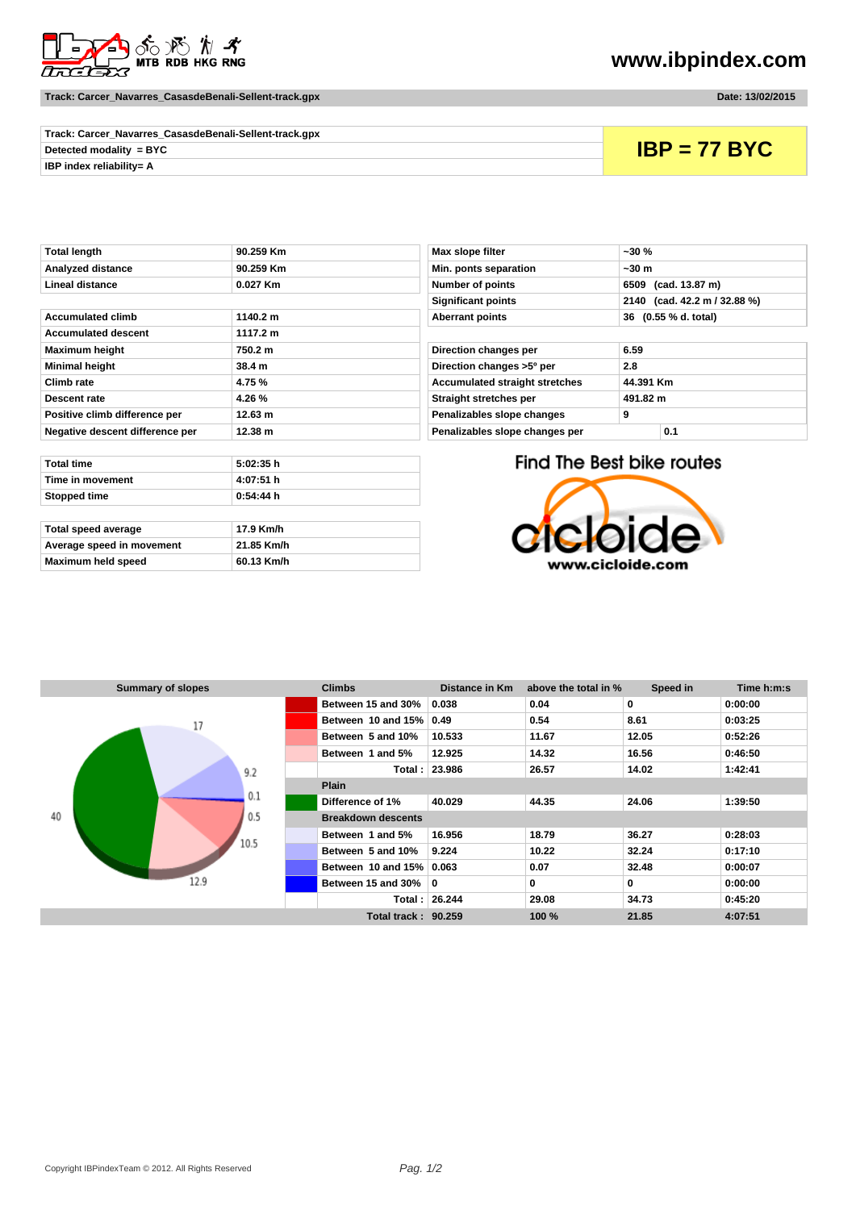

**Track: Carcer\_Navarres\_CasasdeBenali-Sellent-track.gpx Date: 13/02/2015**

## **www.ibpindex.com**

| Track: Carcer_Navarres_CasasdeBenali-Sellent-track.gpx |                |
|--------------------------------------------------------|----------------|
| Detected modality = $BYC$                              | $IBP = 77 BYC$ |
| <b>IBP index reliability= A</b>                        |                |

| <b>Total length</b>             | 90.259 Km | Max slope filter                      | $-30%$                    |  |
|---------------------------------|-----------|---------------------------------------|---------------------------|--|
| Analyzed distance               | 90.259 Km | Min. ponts separation                 | ~50m                      |  |
| Lineal distance                 | 0.027 Km  | Number of points                      | (cad. 13.87 m)<br>6509    |  |
|                                 |           | <b>Significant points</b>             | 2140 (cad. 42.2 m /       |  |
| <b>Accumulated climb</b>        | 1140.2 m  | <b>Aberrant points</b>                | 36 (0.55 % d. total)      |  |
| <b>Accumulated descent</b>      | 1117.2 m  |                                       |                           |  |
| <b>Maximum height</b>           | 750.2 m   | Direction changes per                 | 6.59                      |  |
| <b>Minimal height</b>           | 38.4 m    | Direction changes >5° per             | 2.8                       |  |
| Climb rate                      | 4.75 %    | <b>Accumulated straight stretches</b> | 44.391 Km                 |  |
| Descent rate                    | 4.26 %    | Straight stretches per<br>491.82 m    |                           |  |
| Positive climb difference per   | 12.63 m   | 9<br>Penalizables slope changes       |                           |  |
| Negative descent difference per | 12.38 m   | Penalizables slope changes per        | 0.1                       |  |
|                                 |           |                                       |                           |  |
| <b>Total time</b>               | 5:02:35 h |                                       | Find The Best bike routes |  |
| Time in movement                | 4:07:51 h |                                       |                           |  |
| Stopped time                    | 0:54:44 h |                                       |                           |  |
|                                 |           |                                       |                           |  |

| Total speed average       | 17.9 Km/h  |
|---------------------------|------------|
| Average speed in movement | 21.85 Km/h |
| Maximum held speed        | 60.13 Km/h |

| Max slope filter                      | $-30%$                       |  |  |  |
|---------------------------------------|------------------------------|--|--|--|
| Min. ponts separation                 | $~1$ -30 m                   |  |  |  |
| <b>Number of points</b>               | 6509 (cad. 13.87 m)          |  |  |  |
| <b>Significant points</b>             | 2140 (cad. 42.2 m / 32.88 %) |  |  |  |
| <b>Aberrant points</b>                | 36 (0.55 % d. total)         |  |  |  |
|                                       |                              |  |  |  |
| 6.59<br>Direction changes per         |                              |  |  |  |
| Direction changes >5° per             | 2.8                          |  |  |  |
| <b>Accumulated straight stretches</b> | 44.391 Km                    |  |  |  |
| Straight stretches per                | 491.82 m                     |  |  |  |
| Penalizables slope changes            | 9                            |  |  |  |
| Penalizables slope changes per        | 0.1                          |  |  |  |
|                                       |                              |  |  |  |

Find The Best bike routes



| <b>Summary of slopes</b> | <b>Climbs</b>              | Distance in Km | above the total in % | Speed in | Time h:m:s |  |  |
|--------------------------|----------------------------|----------------|----------------------|----------|------------|--|--|
|                          | Between 15 and 30%         | 0.038          | 0.04                 | 0        | 0:00:00    |  |  |
| 17                       | Between 10 and 15%         | 0.49           | 0.54                 | 8.61     | 0:03:25    |  |  |
|                          | Between 5 and 10%          | 10.533         | 11.67                | 12.05    | 0:52:26    |  |  |
|                          | Between 1 and 5%           | 12.925         | 14.32                | 16.56    | 0:46:50    |  |  |
| 9.2                      |                            | Total: 23.986  | 26.57                | 14.02    | 1:42:41    |  |  |
|                          | <b>Plain</b>               |                |                      |          |            |  |  |
| 0.1                      | Difference of 1%           | 40.029         | 44.35                | 24.06    | 1:39:50    |  |  |
| 40<br>0.5                | <b>Breakdown descents</b>  |                |                      |          |            |  |  |
| 10.5                     | Between 1 and 5%           | 16.956         | 18.79                | 36.27    | 0:28:03    |  |  |
|                          | Between 5 and 10%          | 9.224          | 10.22                | 32.24    | 0:17:10    |  |  |
|                          | Between 10 and 15% 0.063   |                | 0.07                 | 32.48    | 0:00:07    |  |  |
| 12.9                     | Between 15 and 30%         | $\mathbf{0}$   | $\bf{0}$             | 0        | 0:00:00    |  |  |
|                          |                            | Total: 26.244  | 29.08                | 34.73    | 0:45:20    |  |  |
|                          | <b>Total track: 90.259</b> | 100 %          | 21.85                | 4:07:51  |            |  |  |